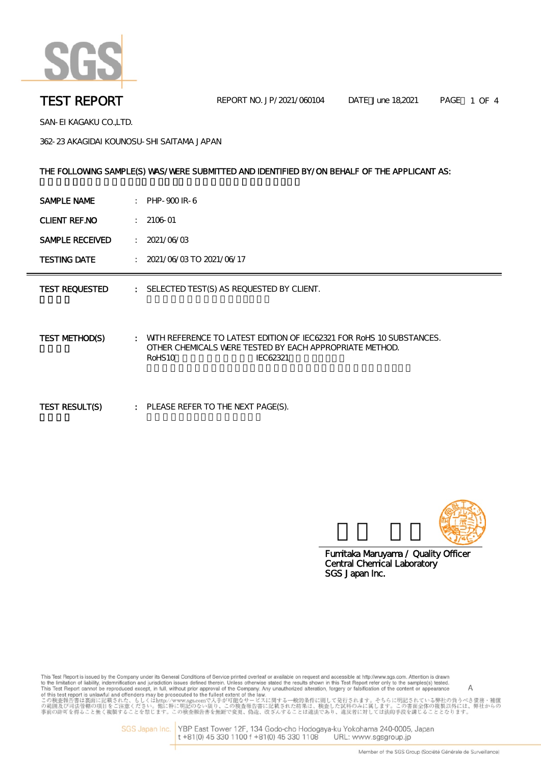

SAN-EI KAGAKU CO.,LTD.

362-23 AKAGIDAI KOUNOSU-SHI SAITAMA JAPAN

### THE FOLLOWING SAMPLE(S) WAS/WERE SUBMITTED AND IDENTIFIED BY/ON BEHALF OF THE APPLICANT AS:

| SAMPLE NAME<br>PHP-900 IR-6 |  |
|-----------------------------|--|
|-----------------------------|--|

CLIENT REF.NO : 2106-01

**SAMPLE RECEIVED : 2021/06/03** 

TESTING DATE : 2021/06/03 TO 2021/06/17

TEST REQUESTED : SELECTED TEST(S) AS REQUESTED BY CLIENT.

TEST METHOD(S) : WITH REFERENCE TO LATEST EDITION OF IEC62321 FOR RoHS 10 SUBSTANCES. OTHER CHEMICALS WERE TESTED BY EACH APPROPRIATE METHOD. RoHS10 IEC62321

TEST RESULT(S) : PLEASE REFER TO THE NEXT PAGE(S).



SGS Japan Inc. Central Chemical Laboratory Fumitaka Maruyama / Quality Officer

This Test Report is issued by the Company under its General Conditions of Service printed overleaf or available on request and accessible at http://www.sgs.com. Attention is drawn insies resport is usual or yine Company under its deneral Conduors of service prime overlean or available that the results shown in this Test Report reter only to the samples(s) tested.<br>This Test Report cannot be reprodu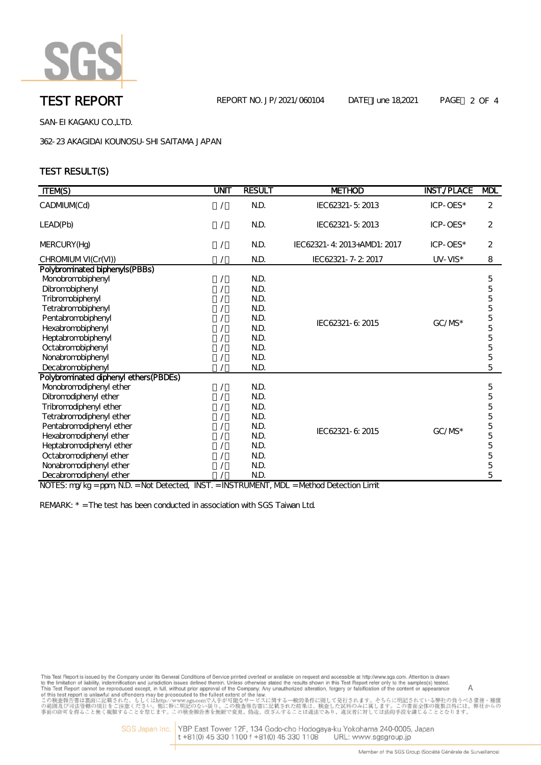

SAN-EI KAGAKU CO.,LTD.

362-23 AKAGIDAI KOUNOSU-SHI SAITAMA JAPAN

# TEST RESULT(S)

| <b>ITEM(S)</b>                                                                                                                                                                                                                                                                                                      | UNIT | <b>RESULT</b>                                                                | <b>METHOD</b>               | <b>INST./PLACE</b> | <b>MDL</b>                                     |
|---------------------------------------------------------------------------------------------------------------------------------------------------------------------------------------------------------------------------------------------------------------------------------------------------------------------|------|------------------------------------------------------------------------------|-----------------------------|--------------------|------------------------------------------------|
| CADMUM(Cd)                                                                                                                                                                                                                                                                                                          |      | N.D.                                                                         | IEC62321-5:2013             | ICP-OES*           | 2                                              |
| LEAD(Pb)                                                                                                                                                                                                                                                                                                            |      | N.D.                                                                         | IEC62321-5:2013             | ICP-OES*           | 2                                              |
| MERCURY (Hg)                                                                                                                                                                                                                                                                                                        |      | N.D.                                                                         | IEC62321-4: 2013+AMD1: 2017 | ICP-OES*           | 2                                              |
| CHROMUM VI(Cr(VI))                                                                                                                                                                                                                                                                                                  |      | N.D.                                                                         | IEC62321-7-2: 2017          | $UV-VIS*$          | 8                                              |
| Polybrominated biphenyls(PBBs)<br>Monobromobiphenyl<br>Dibromobiphenyl<br>Tribromobiphenyl<br>Tetrabromobiphenyl<br>Pentabromobiphenyl<br>Hexabromobiphenyl<br>Heptabromobiphenyl<br>Octabromobiphenyl<br>Nonabromobiphenyl<br>Decabromobiphenyl                                                                    |      | N.D.<br>N.D.<br>N.D.<br>N.D.<br>N.D.<br>N.D.<br>N.D.<br>N.D.<br>N.D.<br>N.D. | IEC62321-6:2015             | $GC/MS*$           | 5<br>5<br>5<br>5<br>5<br>5<br>5<br>5<br>5<br>5 |
| Polybrominated diphenyl ethers(PBDEs)<br>Monobromodiphenyl ether<br>Dibromodiphenyl ether<br>Tribromodiphenyl ether<br>Tetrabromodiphenyl ether<br>Pentabromodiphenyl ether<br>Hexabromodiphenyl ether<br>Heptabromodiphenyl ether<br>Octabromodiphenyl ether<br>Nonabromodiphenyl ether<br>Decabromodiphenyl ether |      | N.D.<br>N.D.<br>N.D.<br>N.D.<br>N.D.<br>N.D.<br>N.D.<br>N.D.<br>N.D.<br>N.D. | IEC62321-6: 2015            | $GC/MS*$           | 5<br>5<br>5<br>5<br>5<br>5<br>5<br>5<br>5<br>5 |

NOTES: mg/kg = ppm, N.D. = Not Detected, INST. = INSTRUMENT, MDL = Method Detection Limit

REMARK: \* = The test has been conducted in association with SGS Taiwan Ltd.

This Test Report is issued by the Company under its General Conditions of Service printed overleaf or available on request and accessible at http://www.sgs.com. Attention is drawn This Test Report is issued by the Company under its General Conditions of Service printed overleat or available on request and accessible at http://www.sgs.com. Attention is drawing the company. Any the first shown in th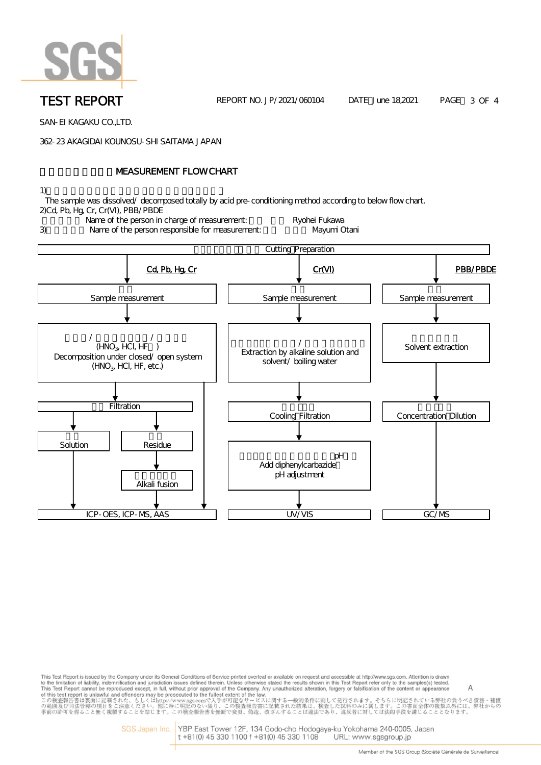

**TEST REPORT** REPORT NO. JP/2021/060104 DATE June 18,2021 PAGE 3 OF 4

SAN-EI KAGAKU CO.,LTD.

362-23 AKAGIDAI KOUNOSU-SHI SAITAMA JAPAN

# **NEASUREMENT FLOW CHART**

1)  $\blacksquare$ 

 The sample was dissolved/ decomposed totally by acid pre-conditioning method according to below flow chart. 2)Cd, Pb, Hg, Cr, Cr(VI), PBB/PBDE





This Test Report is issued by the Company under its General Conditions of Service printed overleaf or available on request and accessible at http://www.sgs.com. Attention is drawn to the limitation of liability, indemnification and jurisdiction issues defined therein. Unless otherwise stated the results shown in this Test Report refer only to the samples(s) tested. to the limitation of lability, indemnification and jurisdiction issues defined therein. Unless otherwise stated the results shown in this Test Report refer only to the samples(s) tested<br>This Test Report cannot be reprodu

> SGS Japan Inc. YBP East Tower 12F, 134 Godo-cho Hodogaya-ku Yokohama 240-0005, Japan t +81(0) 45 330 1100 f +81(0) 45 330 1108 URL: www.sgsgroup.jp